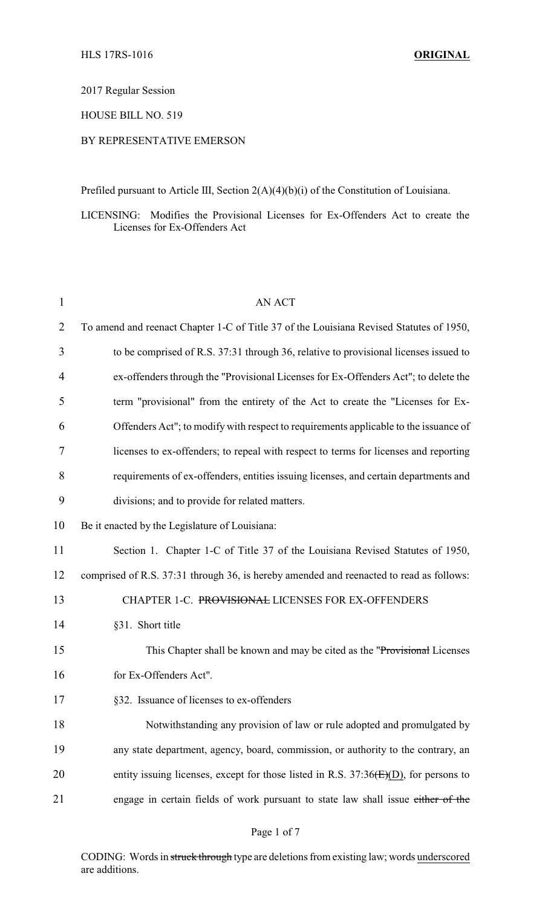# 2017 Regular Session

# HOUSE BILL NO. 519

### BY REPRESENTATIVE EMERSON

Prefiled pursuant to Article III, Section 2(A)(4)(b)(i) of the Constitution of Louisiana.

LICENSING: Modifies the Provisional Licenses for Ex-Offenders Act to create the Licenses for Ex-Offenders Act

| $\mathbf{1}$   | <b>AN ACT</b>                                                                           |
|----------------|-----------------------------------------------------------------------------------------|
| $\overline{2}$ | To amend and reenact Chapter 1-C of Title 37 of the Louisiana Revised Statutes of 1950, |
| 3              | to be comprised of R.S. 37:31 through 36, relative to provisional licenses issued to    |
| 4              | ex-offenders through the "Provisional Licenses for Ex-Offenders Act"; to delete the     |
| 5              | term "provisional" from the entirety of the Act to create the "Licenses for Ex-         |
| 6              | Offenders Act"; to modify with respect to requirements applicable to the issuance of    |
| 7              | licenses to ex-offenders; to repeal with respect to terms for licenses and reporting    |
| 8              | requirements of ex-offenders, entities issuing licenses, and certain departments and    |
| 9              | divisions; and to provide for related matters.                                          |
| 10             | Be it enacted by the Legislature of Louisiana:                                          |
| 11             | Section 1. Chapter 1-C of Title 37 of the Louisiana Revised Statutes of 1950,           |
| 12             | comprised of R.S. 37:31 through 36, is hereby amended and reenacted to read as follows: |
| 13             | CHAPTER 1-C. PROVISIONAL LICENSES FOR EX-OFFENDERS                                      |
| 14             | §31. Short title                                                                        |
| 15             | This Chapter shall be known and may be cited as the "Provisional Licenses"              |
| 16             | for Ex-Offenders Act".                                                                  |
| 17             | §32. Issuance of licenses to ex-offenders                                               |
| 18             | Notwithstanding any provision of law or rule adopted and promulgated by                 |
| 19             | any state department, agency, board, commission, or authority to the contrary, an       |
| 20             | entity issuing licenses, except for those listed in R.S. $37:36(E)(D)$ , for persons to |
| 21             | engage in certain fields of work pursuant to state law shall issue either of the        |

CODING: Words in struck through type are deletions from existing law; words underscored are additions.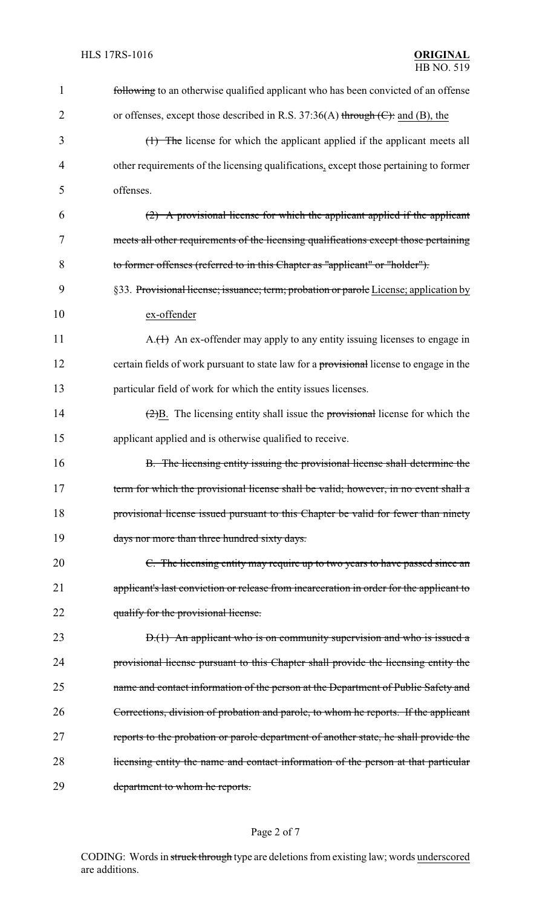| 1              | following to an otherwise qualified applicant who has been convicted of an offense                   |  |
|----------------|------------------------------------------------------------------------------------------------------|--|
| $\overline{2}$ | or offenses, except those described in R.S. $37:36(A)$ through (C): and (B), the                     |  |
| 3              | (1) The license for which the applicant applied if the applicant meets all                           |  |
| 4              | other requirements of the licensing qualifications, except those pertaining to former                |  |
| 5              | offenses.                                                                                            |  |
| 6              | (2) A provisional license for which the applicant applied if the applicant                           |  |
| 7              | meets all other requirements of the licensing qualifications except those pertaining                 |  |
| 8              | to former offenses (referred to in this Chapter as "applicant" or "holder").                         |  |
| 9              | §33. Provisional license; issuance; term; probation or parole License; application by                |  |
| 10             | ex-offender                                                                                          |  |
| 11             | $A.(H)$ An ex-offender may apply to any entity issuing licenses to engage in                         |  |
| 12             | certain fields of work pursuant to state law for a provisional license to engage in the              |  |
| 13             | particular field of work for which the entity issues licenses.                                       |  |
| 14             | $\left(\frac{2}{2}\right)B$ . The licensing entity shall issue the provisional license for which the |  |
| 15             | applicant applied and is otherwise qualified to receive.                                             |  |
| 16             | B. The licensing entity issuing the provisional license shall determine the                          |  |
| 17             | term for which the provisional license shall be valid; however, in no event shall a                  |  |
| 18             | provisional license issued pursuant to this Chapter be valid for fewer than ninety                   |  |
| 19             | days nor more than three hundred sixty days.                                                         |  |
| 20             | C. The licensing entity may require up to two years to have passed since an                          |  |
| 21             | applicant's last conviction or release from incarceration in order for the applicant to              |  |
| 22             | qualify for the provisional license.                                                                 |  |
| 23             | $D(1)$ An applicant who is on community supervision and who is issued a                              |  |
| 24             | provisional license pursuant to this Chapter shall provide the licensing entity the                  |  |
| 25             | name and contact information of the person at the Department of Public Safety and                    |  |
| 26             | Corrections, division of probation and parole, to whom he reports. If the applicant                  |  |
| 27             | reports to the probation or parole department of another state, he shall provide the                 |  |
| 28             | licensing entity the name and contact information of the person at that particular                   |  |
| 29             | department to whom he reports.                                                                       |  |

# Page 2 of 7

CODING: Words in struck through type are deletions from existing law; words underscored are additions.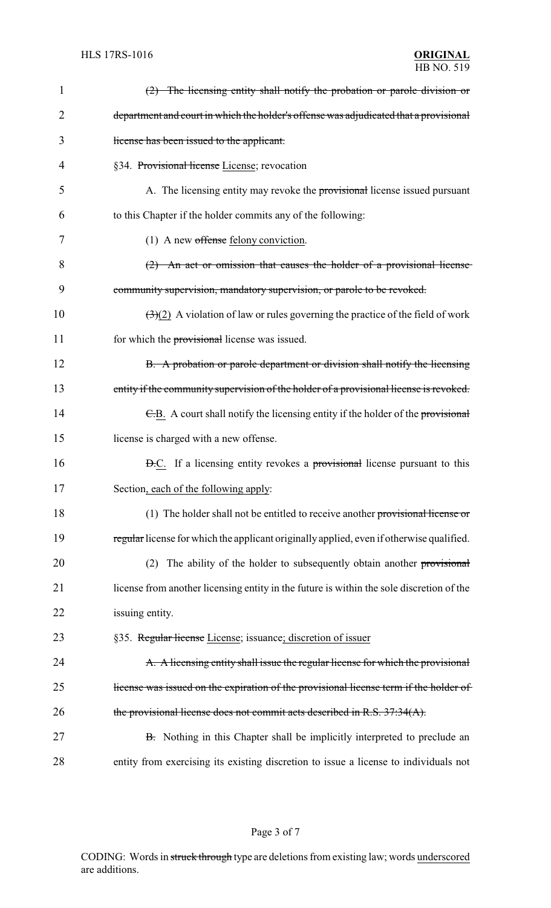| 1  | $(2)$ The licensing entity shall notify the probation or parole division or                           |
|----|-------------------------------------------------------------------------------------------------------|
| 2  | department and court in which the holder's offense was adjudicated that a provisional                 |
| 3  | license has been issued to the applicant.                                                             |
| 4  | §34. Provisional license License; revocation                                                          |
| 5  | A. The licensing entity may revoke the provisional license issued pursuant                            |
| 6  | to this Chapter if the holder commits any of the following:                                           |
| 7  | $(1)$ A new offense felony conviction.                                                                |
| 8  | $(2)$ An act or omission that causes the holder of a provisional license                              |
| 9  | community supervision, mandatory supervision, or parole to be revoked.                                |
| 10 | $\left(\frac{1}{2}\right)(2)$ A violation of law or rules governing the practice of the field of work |
| 11 | for which the provisional license was issued.                                                         |
| 12 | B. A probation or parole department or division shall notify the licensing                            |
| 13 | entity if the community supervision of the holder of a provisional license is revoked.                |
| 14 | E.B. A court shall notify the licensing entity if the holder of the provisional                       |
| 15 | license is charged with a new offense.                                                                |
| 16 | <b>D.C.</b> If a licensing entity revokes a <b>provisional</b> license pursuant to this               |
| 17 | Section, each of the following apply:                                                                 |
| 18 | (1) The holder shall not be entitled to receive another provisional license or                        |
| 19 | regular license for which the applicant originally applied, even if otherwise qualified.              |
| 20 | The ability of the holder to subsequently obtain another provisional<br>(2)                           |
| 21 | license from another licensing entity in the future is within the sole discretion of the              |
| 22 | issuing entity.                                                                                       |
| 23 | §35. Regular license License; issuance; discretion of issuer                                          |
| 24 | A. A licensing entity shall issue the regular license for which the provisional                       |
| 25 | license was issued on the expiration of the provisional license term if the holder of                 |
| 26 | the provisional license does not commit acts described in R.S. 37:34(A).                              |
| 27 | B. Nothing in this Chapter shall be implicitly interpreted to preclude an                             |
| 28 | entity from exercising its existing discretion to issue a license to individuals not                  |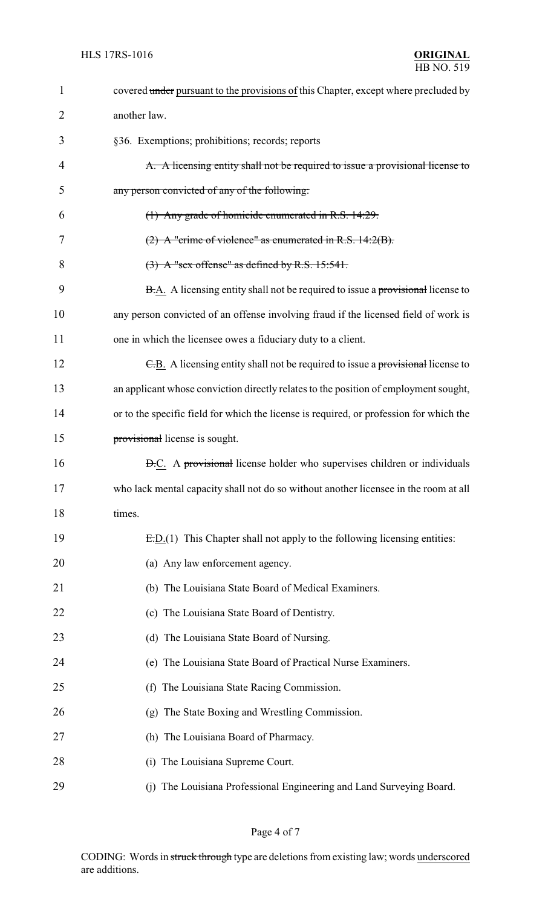| $\mathbf{1}$ | covered under pursuant to the provisions of this Chapter, except where precluded by     |  |
|--------------|-----------------------------------------------------------------------------------------|--|
| 2            | another law.                                                                            |  |
| 3            | §36. Exemptions; prohibitions; records; reports                                         |  |
| 4            | A. A licensing entity shall not be required to issue a provisional license to           |  |
| 5            | any person convicted of any of the following:                                           |  |
| 6            | (1) Any grade of homicide enumerated in R.S. 14:29.                                     |  |
| 7            | $(2)$ A "crime of violence" as enumerated in R.S. 14:2(B).                              |  |
| 8            | $(3)$ A "sex offense" as defined by R.S. 15:541.                                        |  |
| 9            | <b>B.A.</b> A licensing entity shall not be required to issue a provisional license to  |  |
| 10           | any person convicted of an offense involving fraud if the licensed field of work is     |  |
| 11           | one in which the licensee owes a fiduciary duty to a client.                            |  |
| 12           | E.B. A licensing entity shall not be required to issue a provisional license to         |  |
| 13           | an applicant whose conviction directly relates to the position of employment sought,    |  |
| 14           | or to the specific field for which the license is required, or profession for which the |  |
| 15           | provisional license is sought.                                                          |  |
| 16           | <b>D.C.</b> A provisional license holder who supervises children or individuals         |  |
| 17           | who lack mental capacity shall not do so without another licensee in the room at all    |  |
| 18           | times.                                                                                  |  |
| 19           | $E.D.(1)$ This Chapter shall not apply to the following licensing entities:             |  |
| 20           | (a) Any law enforcement agency.                                                         |  |
| 21           | (b) The Louisiana State Board of Medical Examiners.                                     |  |
| 22           | (c) The Louisiana State Board of Dentistry.                                             |  |
| 23           | (d) The Louisiana State Board of Nursing.                                               |  |
| 24           | (e) The Louisiana State Board of Practical Nurse Examiners.                             |  |
| 25           | (f) The Louisiana State Racing Commission.                                              |  |
| 26           | (g) The State Boxing and Wrestling Commission.                                          |  |
| 27           | (h) The Louisiana Board of Pharmacy.                                                    |  |
| 28           | The Louisiana Supreme Court.<br>(i)                                                     |  |
| 29           | The Louisiana Professional Engineering and Land Surveying Board.<br>(i)                 |  |

Page 4 of 7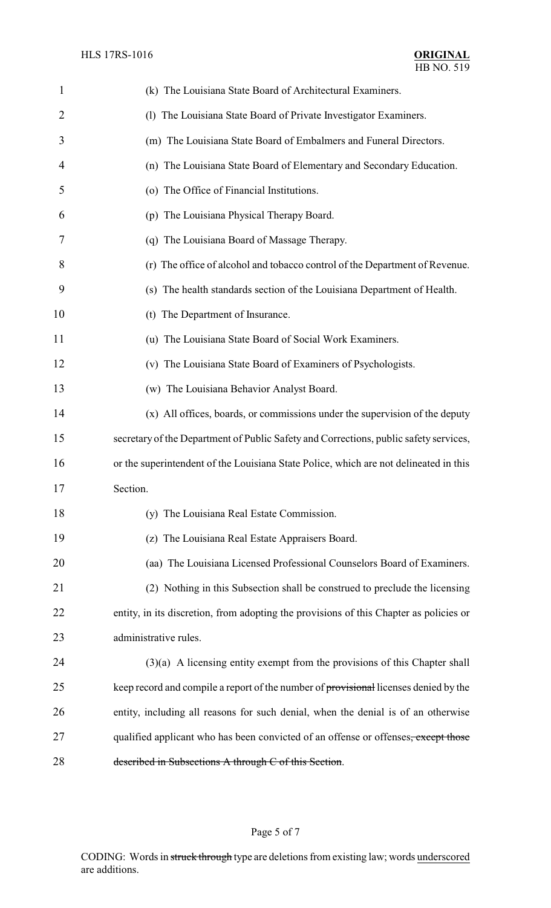| $\mathbf{1}$   | (k) The Louisiana State Board of Architectural Examiners.                              |
|----------------|----------------------------------------------------------------------------------------|
| $\overline{2}$ | (1) The Louisiana State Board of Private Investigator Examiners.                       |
| 3              | (m) The Louisiana State Board of Embalmers and Funeral Directors.                      |
| 4              | (n) The Louisiana State Board of Elementary and Secondary Education.                   |
| 5              | (o) The Office of Financial Institutions.                                              |
| 6              | (p) The Louisiana Physical Therapy Board.                                              |
| 7              | (q) The Louisiana Board of Massage Therapy.                                            |
| 8              | (r) The office of alcohol and tobacco control of the Department of Revenue.            |
| 9              | (s) The health standards section of the Louisiana Department of Health.                |
| 10             | (t) The Department of Insurance.                                                       |
| 11             | (u) The Louisiana State Board of Social Work Examiners.                                |
| 12             | (v) The Louisiana State Board of Examiners of Psychologists.                           |
| 13             | (w) The Louisiana Behavior Analyst Board.                                              |
| 14             | (x) All offices, boards, or commissions under the supervision of the deputy            |
| 15             | secretary of the Department of Public Safety and Corrections, public safety services,  |
| 16             | or the superintendent of the Louisiana State Police, which are not delineated in this  |
| 17             | Section.                                                                               |
| 18             | (y) The Louisiana Real Estate Commission.                                              |
| 19             | (z) The Louisiana Real Estate Appraisers Board.                                        |
| 20             | (aa) The Louisiana Licensed Professional Counselors Board of Examiners.                |
| 21             | (2) Nothing in this Subsection shall be construed to preclude the licensing            |
| 22             | entity, in its discretion, from adopting the provisions of this Chapter as policies or |
| 23             | administrative rules.                                                                  |
| 24             | $(3)(a)$ A licensing entity exempt from the provisions of this Chapter shall           |
| 25             | keep record and compile a report of the number of provisional licenses denied by the   |
| 26             | entity, including all reasons for such denial, when the denial is of an otherwise      |
| 27             | qualified applicant who has been convicted of an offense or offenses, except those     |
| 28             | described in Subsections A through C of this Section.                                  |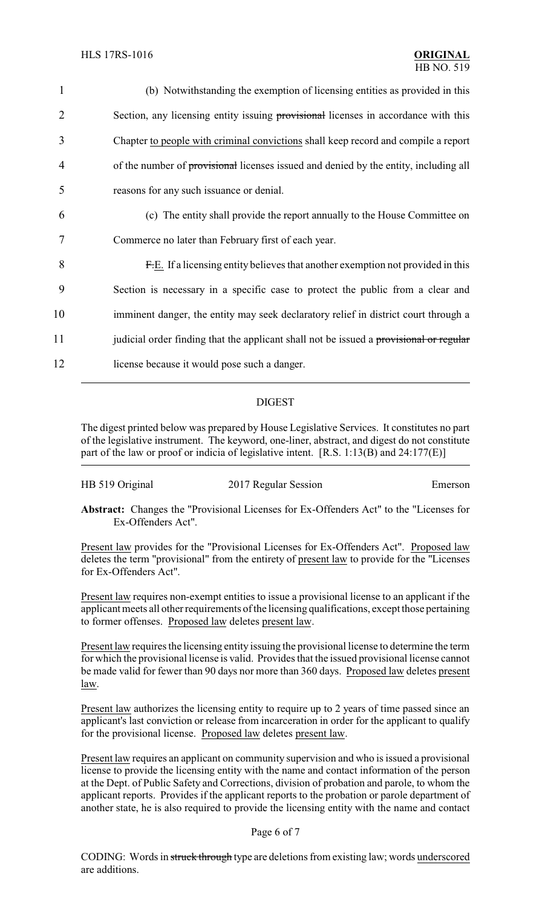| 1              | (b) Notwithstanding the exemption of licensing entities as provided in this            |
|----------------|----------------------------------------------------------------------------------------|
| $\overline{2}$ | Section, any licensing entity issuing provisional licenses in accordance with this     |
| 3              | Chapter to people with criminal convictions shall keep record and compile a report     |
| 4              | of the number of provisional licenses issued and denied by the entity, including all   |
| 5              | reasons for any such issuance or denial.                                               |
| 6              | (c) The entity shall provide the report annually to the House Committee on             |
| 7              | Commerce no later than February first of each year.                                    |
| 8              | F.E. If a licensing entity believes that another exemption not provided in this        |
| 9              | Section is necessary in a specific case to protect the public from a clear and         |
| 10             | imminent danger, the entity may seek declaratory relief in district court through a    |
| 11             | judicial order finding that the applicant shall not be issued a provisional or regular |
| 12             | license because it would pose such a danger.                                           |
|                |                                                                                        |

### DIGEST

The digest printed below was prepared by House Legislative Services. It constitutes no part of the legislative instrument. The keyword, one-liner, abstract, and digest do not constitute part of the law or proof or indicia of legislative intent. [R.S. 1:13(B) and 24:177(E)]

| HB 519 Original | 2017 Regular Session | Emerson |
|-----------------|----------------------|---------|
|-----------------|----------------------|---------|

**Abstract:** Changes the "Provisional Licenses for Ex-Offenders Act" to the "Licenses for Ex-Offenders Act".

Present law provides for the "Provisional Licenses for Ex-Offenders Act". Proposed law deletes the term "provisional" from the entirety of present law to provide for the "Licenses for Ex-Offenders Act".

Present law requires non-exempt entities to issue a provisional license to an applicant if the applicant meets all other requirements of the licensing qualifications, except those pertaining to former offenses. Proposed law deletes present law.

Present law requires the licensing entity issuing the provisional license to determine the term for which the provisional license is valid. Provides that the issued provisional license cannot be made valid for fewer than 90 days nor more than 360 days. Proposed law deletes present law.

Present law authorizes the licensing entity to require up to 2 years of time passed since an applicant's last conviction or release from incarceration in order for the applicant to qualify for the provisional license. Proposed law deletes present law.

Present law requires an applicant on community supervision and who is issued a provisional license to provide the licensing entity with the name and contact information of the person at the Dept. of Public Safety and Corrections, division of probation and parole, to whom the applicant reports. Provides if the applicant reports to the probation or parole department of another state, he is also required to provide the licensing entity with the name and contact

#### Page 6 of 7

CODING: Words in struck through type are deletions from existing law; words underscored are additions.